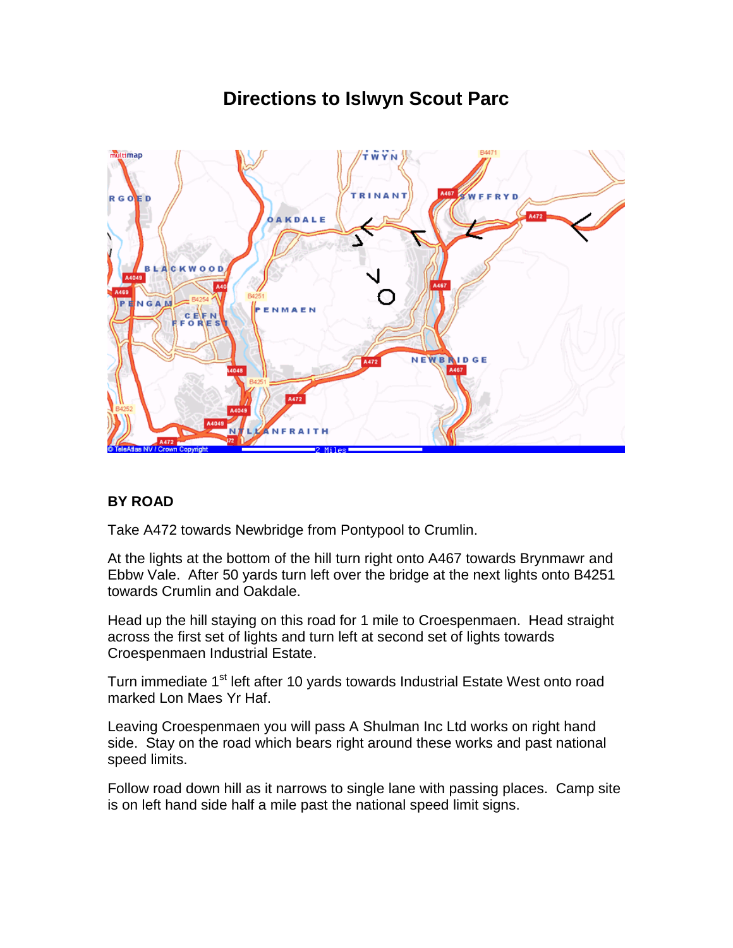## **TWYN** multimap INAN  $R G$ **OAKDALE CKWOOD**  $C$  EF N **NEWBAIDGE** NFRAIT

## **BY ROAD**

Take A472 towards Newbridge from Pontypool to Crumlin.

At the lights at the bottom of the hill turn right onto A467 towards Brynmawr and Ebbw Vale. After 50 yards turn left over the bridge at the next lights onto B4251 towards Crumlin and Oakdale.

Head up the hill staying on this road for 1 mile to Croespenmaen. Head straight across the first set of lights and turn left at second set of lights towards Croespenmaen Industrial Estate.

Turn immediate 1<sup>st</sup> left after 10 yards towards Industrial Estate West onto road marked Lon Maes Yr Haf.

Leaving Croespenmaen you will pass A Shulman Inc Ltd works on right hand side. Stay on the road which bears right around these works and past national speed limits.

Follow road down hill as it narrows to single lane with passing places. Camp site is on left hand side half a mile past the national speed limit signs.

## **Directions to Islwyn Scout Parc**